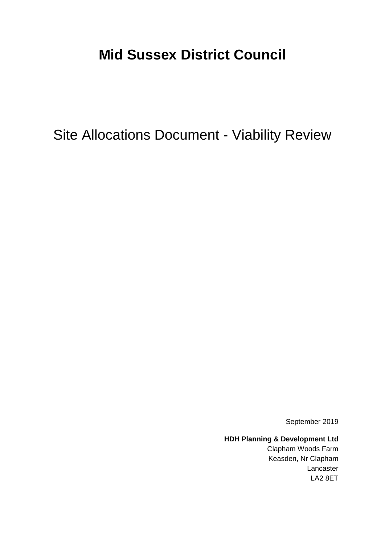# **Mid Sussex District Council**

Site Allocations Document - Viability Review

September 2019

**HDH Planning & Development Ltd**

Clapham Woods Farm Keasden, Nr Clapham Lancaster LA2 8ET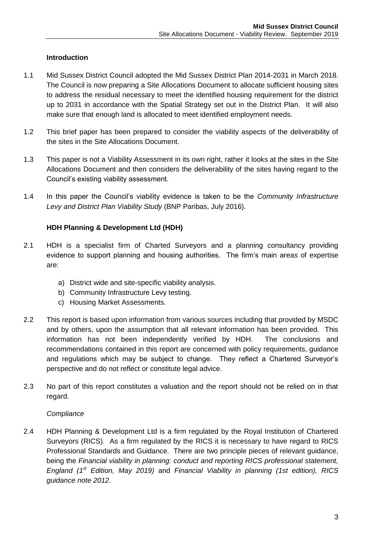# **Introduction**

- 1.1 Mid Sussex District Council adopted the Mid Sussex District Plan 2014-2031 in March 2018. The Council is now preparing a Site Allocations Document to allocate sufficient housing sites to address the residual necessary to meet the identified housing requirement for the district up to 2031 in accordance with the Spatial Strategy set out in the District Plan. It will also make sure that enough land is allocated to meet identified employment needs.
- 1.2 This brief paper has been prepared to consider the viability aspects of the deliverability of the sites in the Site Allocations Document.
- 1.3 This paper is not a Viability Assessment in its own right, rather it looks at the sites in the Site Allocations Document and then considers the deliverability of the sites having regard to the Council's existing viability assessment.
- 1.4 In this paper the Council's viability evidence is taken to be the *Community Infrastructure Levy and District Plan Viability Study* (BNP Paribas, July 2016).

# **HDH Planning & Development Ltd (HDH)**

- 2.1 HDH is a specialist firm of Charted Surveyors and a planning consultancy providing evidence to support planning and housing authorities. The firm's main areas of expertise are:
	- a) District wide and site-specific viability analysis.
	- b) Community Infrastructure Levy testing.
	- c) Housing Market Assessments.
- 2.2 This report is based upon information from various sources including that provided by MSDC and by others, upon the assumption that all relevant information has been provided. This information has not been independently verified by HDH. The conclusions and recommendations contained in this report are concerned with policy requirements, guidance and regulations which may be subject to change. They reflect a Chartered Surveyor's perspective and do not reflect or constitute legal advice.
- 2.3 No part of this report constitutes a valuation and the report should not be relied on in that regard.

#### *Compliance*

2.4 HDH Planning & Development Ltd is a firm regulated by the Royal Institution of Chartered Surveyors (RICS). As a firm regulated by the RICS it is necessary to have regard to RICS Professional Standards and Guidance. There are two principle pieces of relevant guidance, being the *Financial viability in planning: conduct and reporting RICS professional statement, England (1st Edition, May 2019)* and *Financial Viability in planning (1st edition), RICS guidance note 2012*.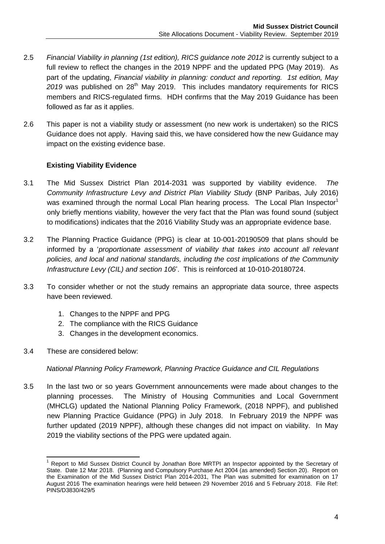- 2.5 *Financial Viability in planning (1st edition), RICS guidance note 2012* is currently subject to a full review to reflect the changes in the 2019 NPPF and the updated PPG (May 2019). As part of the updating, *Financial viability in planning: conduct and reporting. 1st edition, May*  2019 was published on 28<sup>th</sup> May 2019. This includes mandatory requirements for RICS members and RICS-regulated firms. HDH confirms that the May 2019 Guidance has been followed as far as it applies.
- 2.6 This paper is not a viability study or assessment (no new work is undertaken) so the RICS Guidance does not apply. Having said this, we have considered how the new Guidance may impact on the existing evidence base.

# **Existing Viability Evidence**

- 3.1 The Mid Sussex District Plan 2014-2031 was supported by viability evidence. *The Community Infrastructure Levy and District Plan Viability Study* (BNP Paribas, July 2016) was examined through the normal Local Plan hearing process. The Local Plan Inspector<sup>1</sup> only briefly mentions viability, however the very fact that the Plan was found sound (subject to modifications) indicates that the 2016 Viability Study was an appropriate evidence base.
- 3.2 The Planning Practice Guidance (PPG) is clear at 10-001-20190509 that plans should be informed by a '*proportionate assessment of viability that takes into account all relevant policies, and local and national standards, including the cost implications of the Community Infrastructure Levy (CIL) and section 106*'. This is reinforced at 10-010-20180724.
- 3.3 To consider whether or not the study remains an appropriate data source, three aspects have been reviewed.
	- 1. Changes to the NPPF and PPG
	- 2. The compliance with the RICS Guidance
	- 3. Changes in the development economics.
- 3.4 These are considered below:

#### *National Planning Policy Framework, Planning Practice Guidance and CIL Regulations*

3.5 In the last two or so years Government announcements were made about changes to the planning processes. The Ministry of Housing Communities and Local Government (MHCLG) updated the National Planning Policy Framework, (2018 NPPF), and published new Planning Practice Guidance (PPG) in July 2018. In February 2019 the NPPF was further updated (2019 NPPF), although these changes did not impact on viability. In May 2019 the viability sections of the PPG were updated again.

 $\overline{1}$ <sup>1</sup> Report to Mid Sussex District Council by Jonathan Bore MRTPI an Inspector appointed by the Secretary of State. Date 12 Mar 2018. (Planning and Compulsory Purchase Act 2004 (as amended) Section 20). Report on the Examination of the Mid Sussex District Plan 2014-2031, The Plan was submitted for examination on 17 August 2016 The examination hearings were held between 29 November 2016 and 5 February 2018. File Ref: PINS/D3830/429/5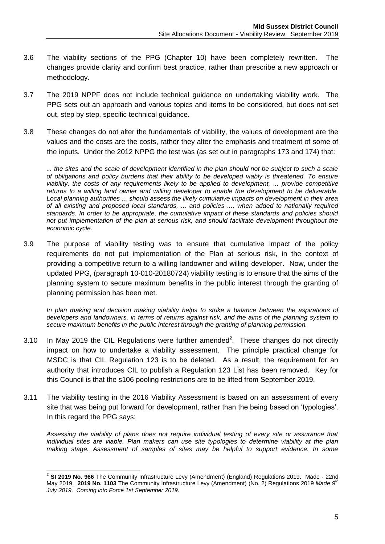- 3.6 The viability sections of the PPG (Chapter 10) have been completely rewritten. The changes provide clarity and confirm best practice, rather than prescribe a new approach or methodology.
- 3.7 The 2019 NPPF does not include technical guidance on undertaking viability work. The PPG sets out an approach and various topics and items to be considered, but does not set out, step by step, specific technical guidance.
- 3.8 These changes do not alter the fundamentals of viability, the values of development are the values and the costs are the costs, rather they alter the emphasis and treatment of some of the inputs. Under the 2012 NPPG the test was (as set out in paragraphs 173 and 174) that:

*... the sites and the scale of development identified in the plan should not be subject to such a scale of obligations and policy burdens that their ability to be developed viably is threatened. To ensure viability, the costs of any requirements likely to be applied to development, ... provide competitive returns to a willing land owner and willing developer to enable the development to be deliverable. Local planning authorities ... should assess the likely cumulative impacts on development in their area of all existing and proposed local standards, ... and policies ..., when added to nationally required standards. In order to be appropriate, the cumulative impact of these standards and policies should not put implementation of the plan at serious risk, and should facilitate development throughout the economic cycle.*

3.9 The purpose of viability testing was to ensure that cumulative impact of the policy requirements do not put implementation of the Plan at serious risk, in the context of providing a competitive return to a willing landowner and willing developer. Now, under the updated PPG, (paragraph 10-010-20180724) viability testing is to ensure that the aims of the planning system to secure maximum benefits in the public interest through the granting of planning permission has been met.

*In plan making and decision making viability helps to strike a balance between the aspirations of developers and landowners, in terms of returns against risk, and the aims of the planning system to secure maximum benefits in the public interest through the granting of planning permission.*

- 3.10 In May 2019 the CIL Regulations were further amended<sup>2</sup>. These changes do not directly impact on how to undertake a viability assessment. The principle practical change for MSDC is that CIL Regulation 123 is to be deleted. As a result, the requirement for an authority that introduces CIL to publish a Regulation 123 List has been removed. Key for this Council is that the s106 pooling restrictions are to be lifted from September 2019.
- 3.11 The viability testing in the 2016 Viability Assessment is based on an assessment of every site that was being put forward for development, rather than the being based on 'typologies'. In this regard the PPG says:

*Assessing the viability of plans does not require individual testing of every site or assurance that individual sites are viable. Plan makers can use site typologies to determine viability at the plan making stage. Assessment of samples of sites may be helpful to support evidence. In some* 

 2 **SI 2019 No. 966** The Community Infrastructure Levy (Amendment) (England) Regulations 2019. Made - 22nd May 2019. **2019 No. 1103** The Community Infrastructure Levy (Amendment) (No. 2) Regulations 2019 *Made 9 th July 2019. Coming into Force 1st September 2019*.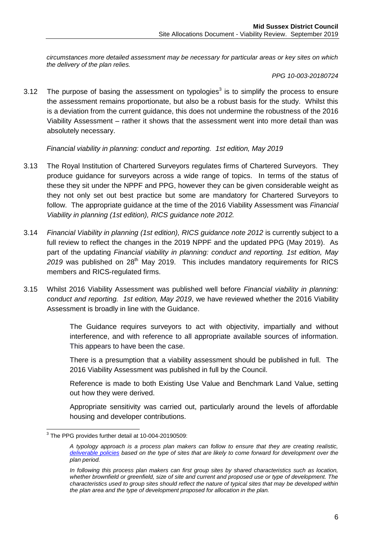*circumstances more detailed assessment may be necessary for particular areas or key sites on which the delivery of the plan relies.*

#### *PPG 10-003-20180724*

3.12 The purpose of basing the assessment on typologies<sup>3</sup> is to simplify the process to ensure the assessment remains proportionate, but also be a robust basis for the study. Whilst this is a deviation from the current guidance, this does not undermine the robustness of the 2016 Viability Assessment – rather it shows that the assessment went into more detail than was absolutely necessary.

*Financial viability in planning: conduct and reporting. 1st edition, May 2019*

- 3.13 The Royal Institution of Chartered Surveyors regulates firms of Chartered Surveyors. They produce guidance for surveyors across a wide range of topics. In terms of the status of these they sit under the NPPF and PPG, however they can be given considerable weight as they not only set out best practice but some are mandatory for Chartered Surveyors to follow. The appropriate guidance at the time of the 2016 Viability Assessment was *Financial Viability in planning (1st edition), RICS guidance note 2012.*
- 3.14 *Financial Viability in planning (1st edition), RICS guidance note 2012* is currently subject to a full review to reflect the changes in the 2019 NPPF and the updated PPG (May 2019). As part of the updating *Financial viability in planning: conduct and reporting. 1st edition, May*  2019 was published on 28<sup>th</sup> May 2019. This includes mandatory requirements for RICS members and RICS-regulated firms.
- 3.15 Whilst 2016 Viability Assessment was published well before *Financial viability in planning: conduct and reporting. 1st edition, May 2019*, we have reviewed whether the 2016 Viability Assessment is broadly in line with the Guidance.

The Guidance requires surveyors to act with objectivity, impartially and without interference, and with reference to all appropriate available sources of information. This appears to have been the case.

There is a presumption that a viability assessment should be published in full. The 2016 Viability Assessment was published in full by the Council.

Reference is made to both Existing Use Value and Benchmark Land Value, setting out how they were derived.

Appropriate sensitivity was carried out, particularly around the levels of affordable housing and developer contributions.

 3 The PPG provides further detail at 10-004-20190509:

*A typology approach is a process plan makers can follow to ensure that they are creating realistic, [deliverable policies](https://www.gov.uk/guidance/viability#para002) based on the type of sites that are likely to come forward for development over the plan period.*

*In following this process plan makers can first group sites by shared characteristics such as location, whether brownfield or greenfield, size of site and current and proposed use or type of development. The characteristics used to group sites should reflect the nature of typical sites that may be developed within the plan area and the type of development proposed for allocation in the plan.*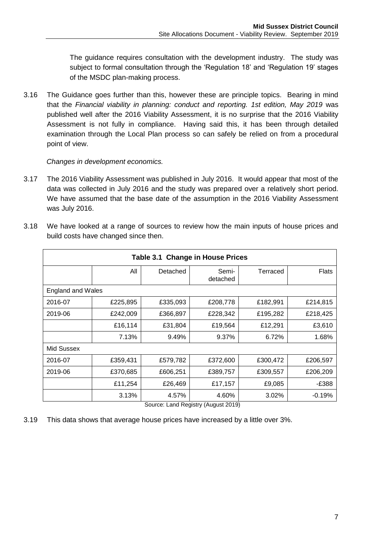The guidance requires consultation with the development industry. The study was subject to formal consultation through the 'Regulation 18' and 'Regulation 19' stages of the MSDC plan-making process.

3.16 The Guidance goes further than this, however these are principle topics. Bearing in mind that the *Financial viability in planning: conduct and reporting. 1st edition, May 2019* was published well after the 2016 Viability Assessment, it is no surprise that the 2016 Viability Assessment is not fully in compliance. Having said this, it has been through detailed examination through the Local Plan process so can safely be relied on from a procedural point of view.

*Changes in development economics.*

3.17 The 2016 Viability Assessment was published in July 2016. It would appear that most of the data was collected in July 2016 and the study was prepared over a relatively short period. We have assumed that the base date of the assumption in the 2016 Viability Assessment was July 2016.

| 3.18 | We have looked at a range of sources to review how the main inputs of house prices and |
|------|----------------------------------------------------------------------------------------|
|      | build costs have changed since then.                                                   |

|                          |          | Table 3.1 Change in House Prices |                   |          |              |
|--------------------------|----------|----------------------------------|-------------------|----------|--------------|
|                          | All      | Detached                         | Semi-<br>detached | Terraced | <b>Flats</b> |
| <b>England and Wales</b> |          |                                  |                   |          |              |
| 2016-07                  | £225,895 | £335,093                         | £208,778          | £182,991 | £214,815     |
| 2019-06                  | £242,009 | £366,897                         | £228,342          | £195,282 | £218,425     |
|                          | £16,114  | £31,804                          | £19,564           | £12,291  | £3,610       |
|                          | 7.13%    | 9.49%                            | 9.37%             | 6.72%    | 1.68%        |
| Mid Sussex               |          |                                  |                   |          |              |
| 2016-07                  | £359,431 | £579,782                         | £372,600          | £300,472 | £206,597     |
| 2019-06                  | £370,685 | £606,251                         | £389,757          | £309,557 | £206,209     |
|                          | £11,254  | £26,469                          | £17,157           | £9,085   | -£388        |
|                          | 3.13%    | 4.57%                            | 4.60%             | 3.02%    | $-0.19%$     |

Source: Land Registry (August 2019)

3.19 This data shows that average house prices have increased by a little over 3%.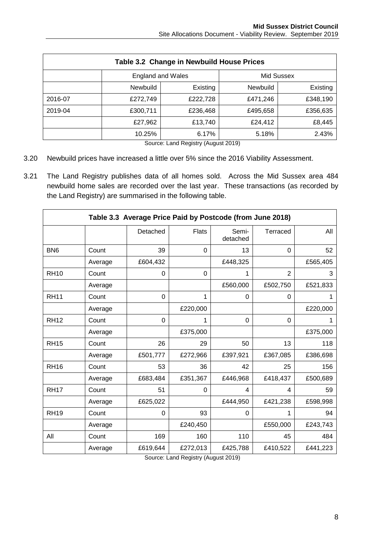| Table 3.2 Change in Newbuild House Prices |                                        |          |                 |          |  |  |  |  |  |  |
|-------------------------------------------|----------------------------------------|----------|-----------------|----------|--|--|--|--|--|--|
|                                           | Mid Sussex<br><b>England and Wales</b> |          |                 |          |  |  |  |  |  |  |
|                                           | <b>Newbuild</b>                        | Existing | <b>Newbuild</b> | Existing |  |  |  |  |  |  |
| 2016-07                                   | £272,749                               | £222,728 | £471,246        | £348,190 |  |  |  |  |  |  |
| 2019-04                                   | £300,711                               | £236,468 | £495,658        | £356,635 |  |  |  |  |  |  |
|                                           | £27,962                                | £13,740  | £24,412         | £8,445   |  |  |  |  |  |  |
|                                           | 10.25%                                 | 6.17%    | 5.18%           | 2.43%    |  |  |  |  |  |  |

Source: Land Registry (August 2019)

- 3.20 Newbuild prices have increased a little over 5% since the 2016 Viability Assessment.
- 3.21 The Land Registry publishes data of all homes sold. Across the Mid Sussex area 484 newbuild home sales are recorded over the last year. These transactions (as recorded by the Land Registry) are summarised in the following table.

|                 |         | Table 3.3 Average Price Paid by Postcode (from June 2018) |              |                   |                |          |
|-----------------|---------|-----------------------------------------------------------|--------------|-------------------|----------------|----------|
|                 |         | Detached                                                  | <b>Flats</b> | Semi-<br>detached | Terraced       | All      |
| BN <sub>6</sub> | Count   | 39                                                        | 0            | 13                | 0              | 52       |
|                 | Average | £604,432                                                  |              | £448,325          |                | £565,405 |
| <b>RH10</b>     | Count   | 0                                                         | 0            | 1                 | $\overline{2}$ | 3        |
|                 | Average |                                                           |              | £560,000          | £502,750       | £521,833 |
| <b>RH11</b>     | Count   | 0                                                         | 1            | 0                 | $\Omega$       |          |
|                 | Average |                                                           | £220,000     |                   |                | £220,000 |
| <b>RH12</b>     | Count   | $\Omega$                                                  | 1            | 0                 | $\Omega$       |          |
|                 | Average |                                                           | £375,000     |                   |                | £375,000 |
| <b>RH15</b>     | Count   | 26                                                        | 29           | 50                | 13             | 118      |
|                 | Average | £501,777                                                  | £272,966     | £397,921          | £367,085       | £386,698 |
| <b>RH16</b>     | Count   | 53                                                        | 36           | 42                | 25             | 156      |
|                 | Average | £683,484                                                  | £351,367     | £446,968          | £418,437       | £500,689 |
| <b>RH17</b>     | Count   | 51                                                        | 0            | 4                 | 4              | 59       |
|                 | Average | £625,022                                                  |              | £444,950          | £421,238       | £598,998 |
| <b>RH19</b>     | Count   | 0                                                         | 93           | 0                 | 1              | 94       |
|                 | Average |                                                           | £240,450     |                   | £550,000       | £243,743 |
| All             | Count   | 169                                                       | 160          | 110               | 45             | 484      |
|                 | Average | £619,644                                                  | £272,013     | £425,788          | £410,522       | £441,223 |

Source: Land Registry (August 2019)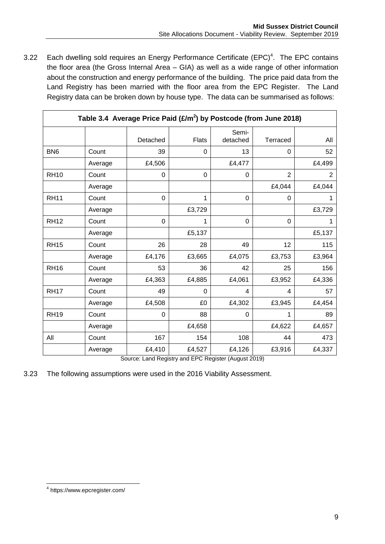3.22 Each dwelling sold requires an Energy Performance Certificate  $(EPC)^4$ . The EPC contains the floor area (the Gross Internal Area – GIA) as well as a wide range of other information about the construction and energy performance of the building. The price paid data from the Land Registry has been married with the floor area from the EPC Register. The Land Registry data can be broken down by house type. The data can be summarised as follows:

|                 | Table 3.4 Average Price Paid $(E/m^2)$ by Postcode (from June 2018) |             |              |                   |                  |                |
|-----------------|---------------------------------------------------------------------|-------------|--------------|-------------------|------------------|----------------|
|                 |                                                                     | Detached    | <b>Flats</b> | Semi-<br>detached | Terraced         | All            |
| BN <sub>6</sub> | Count                                                               | 39          | 0            | 13                | $\Omega$         | 52             |
|                 | Average                                                             | £4,506      |              | £4,477            |                  | £4,499         |
| <b>RH10</b>     | Count                                                               | $\mathbf 0$ | 0            | 0                 | $\overline{2}$   | $\overline{2}$ |
|                 | Average                                                             |             |              |                   | £4,044           | £4,044         |
| <b>RH11</b>     | Count                                                               | 0           | 1            | 0                 | 0                | 1              |
|                 | Average                                                             |             | £3,729       |                   |                  | £3,729         |
| <b>RH12</b>     | Count                                                               | 0           | 1            | 0                 | $\boldsymbol{0}$ | 1              |
|                 | Average                                                             |             | £5,137       |                   |                  | £5,137         |
| <b>RH15</b>     | Count                                                               | 26          | 28           | 49                | 12               | 115            |
|                 | Average                                                             | £4,176      | £3,665       | £4,075            | £3,753           | £3,964         |
| <b>RH16</b>     | Count                                                               | 53          | 36           | 42                | 25               | 156            |
|                 | Average                                                             | £4,363      | £4,885       | £4,061            | £3,952           | £4,336         |
| <b>RH17</b>     | Count                                                               | 49          | 0            | 4                 | 4                | 57             |
|                 | Average                                                             | £4,508      | £0           | £4,302            | £3,945           | £4,454         |
| <b>RH19</b>     | Count                                                               | 0           | 88           | 0                 | 1                | 89             |
|                 | Average                                                             |             | £4,658       |                   | £4,622           | £4,657         |
| All             | Count                                                               | 167         | 154          | 108               | 44               | 473            |
|                 | Average                                                             | £4,410      | £4,527       | £4,126            | £3,916           | £4,337         |

Source: Land Registry and EPC Register (August 2019)

3.23 The following assumptions were used in the 2016 Viability Assessment.

 4 https://www.epcregister.com/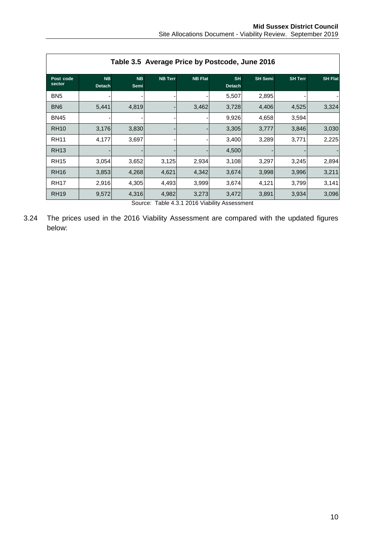|                     |                            | Table 3.5 Average Price by Postcode, June 2016 |                |                                 |                            |                |                |                |
|---------------------|----------------------------|------------------------------------------------|----------------|---------------------------------|----------------------------|----------------|----------------|----------------|
| Post code<br>sector | <b>NB</b><br><b>Detach</b> | <b>NB</b><br>Semi                              | <b>NB Terr</b> | <b>NB Flat</b>                  | <b>SH</b><br><b>Detach</b> | <b>SH</b> Semi | <b>SH Terr</b> | <b>SH Flat</b> |
| BN <sub>5</sub>     |                            |                                                |                |                                 | 5,507                      | 2,895          |                |                |
| BN <sub>6</sub>     | 5,441                      | 4,819                                          |                | 3,462                           | 3,728                      | 4,406          | 4,525          | 3,324          |
| <b>BN45</b>         |                            |                                                |                |                                 | 9,926                      | 4,658          | 3,594          |                |
| <b>RH10</b>         | 3,176                      | 3,830                                          |                |                                 | 3,305                      | 3,777          | 3,846          | 3,030          |
| <b>RH11</b>         | 4,177                      | 3,697                                          |                |                                 | 3,400                      | 3,289          | 3,771          | 2,225          |
| <b>RH13</b>         |                            |                                                |                |                                 | 4,500                      |                |                |                |
| <b>RH15</b>         | 3,054                      | 3,652                                          | 3,125          | 2,934                           | 3,108                      | 3,297          | 3,245          | 2,894          |
| <b>RH16</b>         | 3,853                      | 4,268                                          | 4,621          | 4,342                           | 3,674                      | 3,998          | 3,996          | 3,211          |
| <b>RH17</b>         | 2,916                      | 4,305                                          | 4,493          | 3,999                           | 3,674                      | 4,121          | 3,799          | 3,141          |
| <b>RH19</b>         | 9,572                      | 4,316                                          | 4,982          | 3,273<br>T II 404004015 I THE A | 3,472                      | 3,891          | 3,934          | 3,096          |

Source: Table 4.3.1 2016 Viability Assessment

3.24 The prices used in the 2016 Viability Assessment are compared with the updated figures below: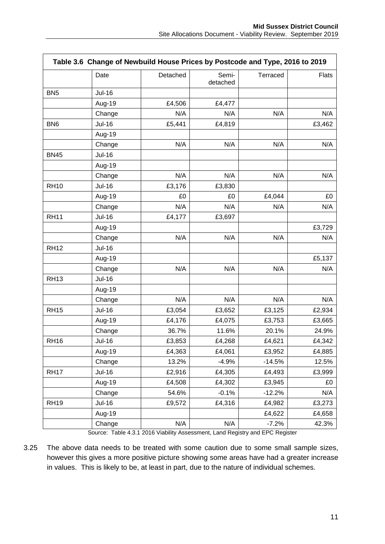|                 |               | Table 3.6 Change of Newbuild House Prices by Postcode and Type, 2016 to 2019 |                   |          |              |
|-----------------|---------------|------------------------------------------------------------------------------|-------------------|----------|--------------|
|                 | Date          | Detached                                                                     | Semi-<br>detached | Terraced | <b>Flats</b> |
| BN <sub>5</sub> | <b>Jul-16</b> |                                                                              |                   |          |              |
|                 | Aug-19        | £4,506                                                                       | £4,477            |          |              |
|                 | Change        | N/A                                                                          | N/A               | N/A      | N/A          |
| BN <sub>6</sub> | <b>Jul-16</b> | £5,441                                                                       | £4,819            |          | £3,462       |
|                 | Aug-19        |                                                                              |                   |          |              |
|                 | Change        | N/A                                                                          | N/A               | N/A      | N/A          |
| <b>BN45</b>     | <b>Jul-16</b> |                                                                              |                   |          |              |
|                 | Aug-19        |                                                                              |                   |          |              |
|                 | Change        | N/A                                                                          | N/A               | N/A      | N/A          |
| <b>RH10</b>     | <b>Jul-16</b> | £3,176                                                                       | £3,830            |          |              |
|                 | Aug-19        | £0                                                                           | £0                | £4,044   | £0           |
|                 | Change        | N/A                                                                          | N/A               | N/A      | N/A          |
| <b>RH11</b>     | $Jul-16$      | £4,177                                                                       | £3,697            |          |              |
|                 | Aug-19        |                                                                              |                   |          | £3,729       |
|                 | Change        | N/A                                                                          | N/A               | N/A      | N/A          |
| <b>RH12</b>     | <b>Jul-16</b> |                                                                              |                   |          |              |
|                 | Aug-19        |                                                                              |                   |          | £5,137       |
|                 | Change        | N/A                                                                          | N/A               | N/A      | N/A          |
| <b>RH13</b>     | <b>Jul-16</b> |                                                                              |                   |          |              |
|                 | Aug-19        |                                                                              |                   |          |              |
|                 | Change        | N/A                                                                          | N/A               | N/A      | N/A          |
| <b>RH15</b>     | <b>Jul-16</b> | £3,054                                                                       | £3,652            | £3,125   | £2,934       |
|                 | Aug-19        | £4,176                                                                       | £4,075            | £3,753   | £3,665       |
|                 | Change        | 36.7%                                                                        | 11.6%             | 20.1%    | 24.9%        |
| <b>RH16</b>     | <b>Jul-16</b> | £3,853                                                                       | £4,268            | £4,621   | £4,342       |
|                 | Aug-19        | £4,363                                                                       | £4,061            | £3,952   | £4,885       |
|                 | Change        | 13.2%                                                                        | $-4.9%$           | $-14.5%$ | 12.5%        |
| <b>RH17</b>     | <b>Jul-16</b> | £2,916                                                                       | £4,305            | £4,493   | £3,999       |
|                 | Aug-19        | £4,508                                                                       | £4,302            | £3,945   | £0           |
|                 | Change        | 54.6%                                                                        | $-0.1%$           | $-12.2%$ | N/A          |
| <b>RH19</b>     | <b>Jul-16</b> | £9,572                                                                       | £4,316            | £4,982   | £3,273       |
|                 | Aug-19        |                                                                              |                   | £4,622   | £4,658       |
|                 | Change        | N/A                                                                          | N/A               | $-7.2%$  | 42.3%        |

Source: Table 4.3.1 2016 Viability Assessment, Land Registry and EPC Register

3.25 The above data needs to be treated with some caution due to some small sample sizes, however this gives a more positive picture showing some areas have had a greater increase in values. This is likely to be, at least in part, due to the nature of individual schemes.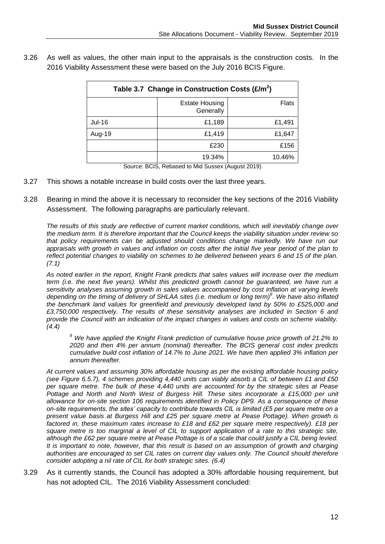3.26 As well as values, the other main input to the appraisals is the construction costs. In the 2016 Viability Assessment these were based on the July 2016 BCIS Figure.

| Table 3.7 Change in Construction Costs $(E/m^2)$ |                                    |        |  |  |  |  |  |  |  |
|--------------------------------------------------|------------------------------------|--------|--|--|--|--|--|--|--|
|                                                  | <b>Estate Housing</b><br>Generally | Flats  |  |  |  |  |  |  |  |
| Jul-16                                           | £1,189                             | £1,491 |  |  |  |  |  |  |  |
| Aug-19                                           | £1,419                             | £1,647 |  |  |  |  |  |  |  |
|                                                  | £230                               | £156   |  |  |  |  |  |  |  |
|                                                  | 19.34%                             | 10.46% |  |  |  |  |  |  |  |

Source: BCIS, Rebased to Mid Sussex (August 2019)

- 3.27 This shows a notable increase in build costs over the last three years.
- 3.28 Bearing in mind the above it is necessary to reconsider the key sections of the 2016 Viability Assessment. The following paragraphs are particularly relevant.

*The results of this study are reflective of current market conditions, which will inevitably change over the medium term. It is therefore important that the Council keeps the viability situation under review so that policy requirements can be adjusted should conditions change markedly. We have run our appraisals with growth in values and inflation on costs after the initial five year period of the plan to reflect potential changes to viability on schemes to be delivered between years 6 and 15 of the plan. (7.1)*

*As noted earlier in the report, Knight Frank predicts that sales values will increase over the medium term (i.e. the next five years). Whilst this predicted growth cannot be guaranteed, we have run a sensitivity analyses assuming growth in sales values accompanied by cost inflation at varying levels depending on the timing of delivery of SHLAA sites (i.e. medium or long term)<sup>8</sup> . We have also inflated the benchmark land values for greenfield and previously developed land by 50% to £525,000 and £3,750,000 respectively. The results of these sensitivity analyses are included in Section 6 and provide the Council with an indication of the impact changes in values and costs on scheme viability. (4.4)*

*<sup>8</sup> We have applied the Knight Frank prediction of cumulative house price growth of 21.2% to 2020 and then 4% per annum (nominal) thereafter. The BCIS general cost index predicts cumulative build cost inflation of 14.7% to June 2021. We have then applied 3% inflation per annum thereafter.*

*At current values and assuming 30% affordable housing as per the existing affordable housing policy (see Figure 6.5.7), 4 schemes providing 4,440 units can viably absorb a CIL of between £1 and £50 per square metre. The bulk of these 4,440 units are accounted for by the strategic sites at Pease*  Pottage and North and North West of Burgess Hill. These sites incorporate a £15,000 per unit *allowance for on-site section 106 requirements identified in Policy DP9. As a consequence of these on-site requirements, the sites' capacity to contribute towards CIL is limited (£5 per square metre on a present value basis at Burgess Hill and £25 per square metre at Pease Pottage). When growth is factored in, these maximum rates increase to £18 and £62 per square metre respectively). £18 per square metre is too marginal a level of CIL to support application of a rate to this strategic site, although the £62 per square metre at Pease Pottage is of a scale that could justify a CIL being levied. It is important to note, however, that this result is based on an assumption of growth and charging authorities are encouraged to set CIL rates on current day values only. The Council should therefore consider adopting a nil rate of CIL for both strategic sites. (6.4)*

3.29 As it currently stands, the Council has adopted a 30% affordable housing requirement, but has not adopted CIL. The 2016 Viability Assessment concluded: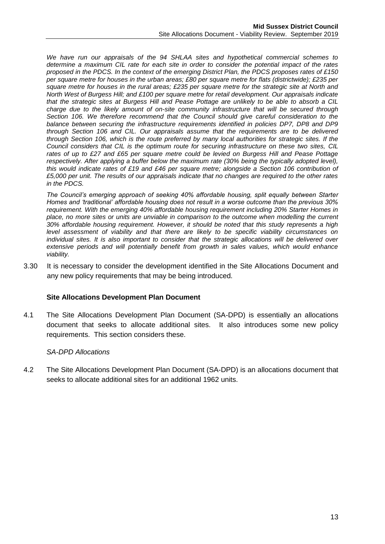*We have run our appraisals of the 94 SHLAA sites and hypothetical commercial schemes to determine a maximum CIL rate for each site in order to consider the potential impact of the rates proposed in the PDCS. In the context of the emerging District Plan, the PDCS proposes rates of £150 per square metre for houses in the urban areas; £80 per square metre for flats (districtwide); £235 per square metre for houses in the rural areas; £235 per square metre for the strategic site at North and North West of Burgess Hill; and £100 per square metre for retail development. Our appraisals indicate that the strategic sites at Burgess Hill and Pease Pottage are unlikely to be able to absorb a CIL charge due to the likely amount of on-site community infrastructure that will be secured through Section 106. We therefore recommend that the Council should give careful consideration to the balance between securing the infrastructure requirements identified in policies DP7, DP8 and DP9 through Section 106 and CIL. Our appraisals assume that the requirements are to be delivered through Section 106, which is the route preferred by many local authorities for strategic sites. If the Council considers that CIL is the optimum route for securing infrastructure on these two sites, CIL rates of up to £27 and £65 per square metre could be levied on Burgess Hill and Pease Pottage respectively. After applying a buffer below the maximum rate (30% being the typically adopted level), this would indicate rates of £19 and £46 per square metre; alongside a Section 106 contribution of £5,000 per unit. The results of our appraisals indicate that no changes are required to the other rates in the PDCS.*

*The Council's emerging approach of seeking 40% affordable housing, split equally between Starter Homes and 'traditional' affordable housing does not result in a worse outcome than the previous 30% requirement. With the emerging 40% affordable housing requirement including 20% Starter Homes in place, no more sites or units are unviable in comparison to the outcome when modelling the current 30% affordable housing requirement. However, it should be noted that this study represents a high level assessment of viability and that there are likely to be specific viability circumstances on individual sites. It is also important to consider that the strategic allocations will be delivered over extensive periods and will potentially benefit from growth in sales values, which would enhance viability.*

3.30 It is necessary to consider the development identified in the Site Allocations Document and any new policy requirements that may be being introduced.

# **Site Allocations Development Plan Document**

4.1 The Site Allocations Development Plan Document (SA-DPD) is essentially an allocations document that seeks to allocate additional sites. It also introduces some new policy requirements. This section considers these.

#### *SA-DPD Allocations*

4.2 The Site Allocations Development Plan Document (SA-DPD) is an allocations document that seeks to allocate additional sites for an additional 1962 units.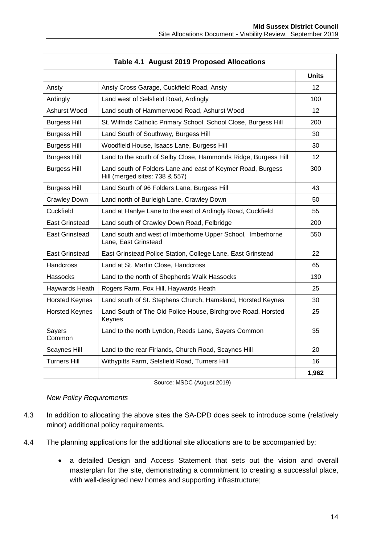|                       | Table 4.1 August 2019 Proposed Allocations                                                    |                 |
|-----------------------|-----------------------------------------------------------------------------------------------|-----------------|
|                       |                                                                                               | <b>Units</b>    |
| Ansty                 | Ansty Cross Garage, Cuckfield Road, Ansty                                                     | 12              |
| Ardingly              | Land west of Selsfield Road, Ardingly                                                         | 100             |
| Ashurst Wood          | Land south of Hammerwood Road, Ashurst Wood                                                   | 12              |
| <b>Burgess Hill</b>   | St. Wilfrids Catholic Primary School, School Close, Burgess Hill                              | 200             |
| <b>Burgess Hill</b>   | Land South of Southway, Burgess Hill                                                          | 30              |
| <b>Burgess Hill</b>   | Woodfield House, Isaacs Lane, Burgess Hill                                                    | 30              |
| <b>Burgess Hill</b>   | Land to the south of Selby Close, Hammonds Ridge, Burgess Hill                                | 12 <sup>2</sup> |
| <b>Burgess Hill</b>   | Land south of Folders Lane and east of Keymer Road, Burgess<br>Hill (merged sites: 738 & 557) | 300             |
| <b>Burgess Hill</b>   | Land South of 96 Folders Lane, Burgess Hill                                                   | 43              |
| <b>Crawley Down</b>   | Land north of Burleigh Lane, Crawley Down                                                     | 50              |
| Cuckfield             | Land at Hanlye Lane to the east of Ardingly Road, Cuckfield                                   | 55              |
| East Grinstead        | Land south of Crawley Down Road, Felbridge                                                    | 200             |
| East Grinstead        | Land south and west of Imberhorne Upper School, Imberhorne<br>Lane, East Grinstead            | 550             |
| East Grinstead        | East Grinstead Police Station, College Lane, East Grinstead                                   | 22              |
| Handcross             | Land at St. Martin Close, Handcross                                                           | 65              |
| Hassocks              | Land to the north of Shepherds Walk Hassocks                                                  | 130             |
| Haywards Heath        | Rogers Farm, Fox Hill, Haywards Heath                                                         | 25              |
| <b>Horsted Keynes</b> | Land south of St. Stephens Church, Hamsland, Horsted Keynes                                   | 30              |
| <b>Horsted Keynes</b> | Land South of The Old Police House, Birchgrove Road, Horsted<br>Keynes                        | 25              |
| Sayers<br>Common      | Land to the north Lyndon, Reeds Lane, Sayers Common                                           | 35              |
| <b>Scaynes Hill</b>   | Land to the rear Firlands, Church Road, Scaynes Hill                                          | 20              |
| <b>Turners Hill</b>   | Withypitts Farm, Selsfield Road, Turners Hill                                                 | 16              |
|                       |                                                                                               | 1,962           |

Source: MSDC (August 2019)

#### *New Policy Requirements*

- 4.3 In addition to allocating the above sites the SA-DPD does seek to introduce some (relatively minor) additional policy requirements.
- 4.4 The planning applications for the additional site allocations are to be accompanied by:
	- a detailed Design and Access Statement that sets out the vision and overall masterplan for the site, demonstrating a commitment to creating a successful place, with well-designed new homes and supporting infrastructure;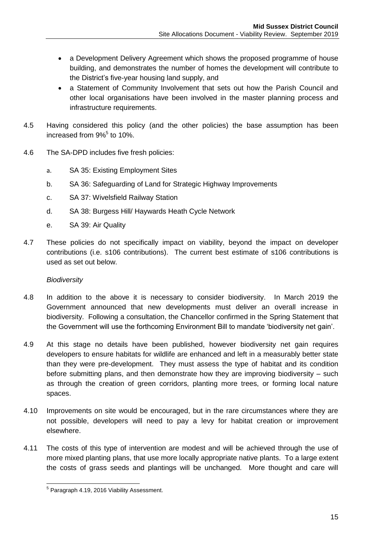- a Development Delivery Agreement which shows the proposed programme of house building, and demonstrates the number of homes the development will contribute to the District's five-year housing land supply, and
- a Statement of Community Involvement that sets out how the Parish Council and other local organisations have been involved in the master planning process and infrastructure requirements.
- 4.5 Having considered this policy (and the other policies) the base assumption has been increased from 9%<sup>5</sup> to 10%.
- 4.6 The SA-DPD includes five fresh policies:
	- a. SA 35: Existing Employment Sites
	- b. SA 36: Safeguarding of Land for Strategic Highway Improvements
	- c. SA 37: Wivelsfield Railway Station
	- d. SA 38: Burgess Hill/ Haywards Heath Cycle Network
	- e. SA 39: Air Quality
- 4.7 These policies do not specifically impact on viability, beyond the impact on developer contributions (i.e. s106 contributions). The current best estimate of s106 contributions is used as set out below.

# *Biodiversity*

- 4.8 In addition to the above it is necessary to consider biodiversity. In March 2019 the Government announced that new developments must deliver an overall increase in biodiversity. Following a consultation, the Chancellor confirmed in the [Spring Statement](https://www.gov.uk/government/news/spring-statement-2019-what-you-need-to-know) that the Government will use the forthcoming Environment Bill to mandate 'biodiversity net gain'.
- 4.9 At this stage no details have been published, however biodiversity net gain requires developers to ensure habitats for wildlife are enhanced and left in a measurably better state than they were pre-development. They must assess the type of habitat and its condition before submitting plans, and then demonstrate how they are improving biodiversity – such as through the creation of green corridors, planting more trees, or forming local nature spaces.
- 4.10 Improvements on site would be encouraged, but in the rare circumstances where they are not possible, developers will need to pay a levy for habitat creation or improvement elsewhere.
- 4.11 The costs of this type of intervention are modest and will be achieved through the use of more mixed planting plans, that use more locally appropriate native plants. To a large extent the costs of grass seeds and plantings will be unchanged. More thought and care will

 5 Paragraph 4.19, 2016 Viability Assessment.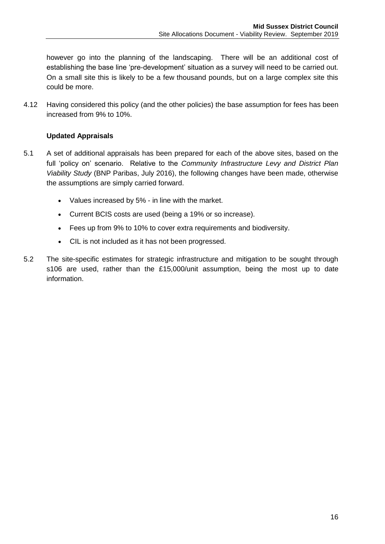however go into the planning of the landscaping. There will be an additional cost of establishing the base line 'pre-development' situation as a survey will need to be carried out. On a small site this is likely to be a few thousand pounds, but on a large complex site this could be more.

4.12 Having considered this policy (and the other policies) the base assumption for fees has been increased from 9% to 10%.

# **Updated Appraisals**

- 5.1 A set of additional appraisals has been prepared for each of the above sites, based on the full 'policy on' scenario. Relative to the *Community Infrastructure Levy and District Plan Viability Study* (BNP Paribas, July 2016), the following changes have been made, otherwise the assumptions are simply carried forward.
	- Values increased by 5% in line with the market.
	- Current BCIS costs are used (being a 19% or so increase).
	- Fees up from 9% to 10% to cover extra requirements and biodiversity.
	- CIL is not included as it has not been progressed.
- 5.2 The site-specific estimates for strategic infrastructure and mitigation to be sought through s106 are used, rather than the £15,000/unit assumption, being the most up to date information.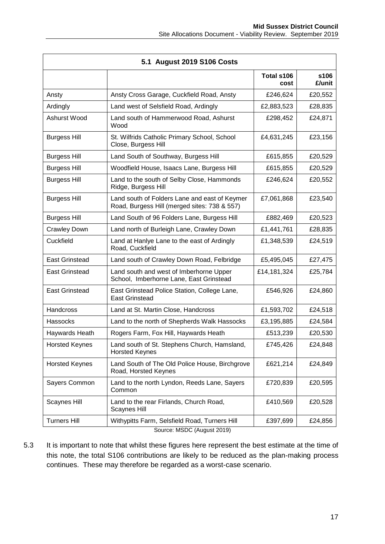|                       | 5.1 August 2019 S106 Costs                                                                    |                    |                |
|-----------------------|-----------------------------------------------------------------------------------------------|--------------------|----------------|
|                       |                                                                                               | Total s106<br>cost | s106<br>£/unit |
| Ansty                 | Ansty Cross Garage, Cuckfield Road, Ansty                                                     | £246,624           | £20,552        |
| Ardingly              | Land west of Selsfield Road, Ardingly                                                         | £2,883,523         | £28,835        |
| Ashurst Wood          | Land south of Hammerwood Road, Ashurst<br>Wood                                                | £298,452           | £24,871        |
| <b>Burgess Hill</b>   | St. Wilfrids Catholic Primary School, School<br>Close, Burgess Hill                           | £4,631,245         | £23,156        |
| <b>Burgess Hill</b>   | Land South of Southway, Burgess Hill                                                          | £615,855           | £20,529        |
| <b>Burgess Hill</b>   | Woodfield House, Isaacs Lane, Burgess Hill                                                    | £615,855           | £20,529        |
| <b>Burgess Hill</b>   | Land to the south of Selby Close, Hammonds<br>Ridge, Burgess Hill                             | £246,624           | £20,552        |
| <b>Burgess Hill</b>   | Land south of Folders Lane and east of Keymer<br>Road, Burgess Hill (merged sites: 738 & 557) | £7,061,868         | £23,540        |
| <b>Burgess Hill</b>   | Land South of 96 Folders Lane, Burgess Hill                                                   | £882,469           | £20,523        |
| <b>Crawley Down</b>   | Land north of Burleigh Lane, Crawley Down                                                     | £1,441,761         | £28,835        |
| Cuckfield             | Land at Hanlye Lane to the east of Ardingly<br>Road, Cuckfield                                | £1,348,539         | £24,519        |
| <b>East Grinstead</b> | Land south of Crawley Down Road, Felbridge                                                    | £5,495,045         | £27,475        |
| East Grinstead        | Land south and west of Imberhorne Upper<br>School, Imberhorne Lane, East Grinstead            | £14,181,324        | £25,784        |
| <b>East Grinstead</b> | East Grinstead Police Station, College Lane,<br><b>East Grinstead</b>                         | £546,926           | £24,860        |
| <b>Handcross</b>      | Land at St. Martin Close, Handcross                                                           | £1,593,702         | £24,518        |
| Hassocks              | Land to the north of Shepherds Walk Hassocks                                                  | £3,195,885         | £24,584        |
| Haywards Heath        | Rogers Farm, Fox Hill, Haywards Heath                                                         | £513,239           | £20,530        |
| <b>Horsted Keynes</b> | Land south of St. Stephens Church, Hamsland,<br><b>Horsted Keynes</b>                         | £745,426           | £24,848        |
| <b>Horsted Keynes</b> | Land South of The Old Police House, Birchgrove<br>Road, Horsted Keynes                        | £621,214           | £24,849        |
| Sayers Common         | Land to the north Lyndon, Reeds Lane, Sayers<br>Common                                        | £720,839           | £20,595        |
| <b>Scaynes Hill</b>   | Land to the rear Firlands, Church Road,<br><b>Scaynes Hill</b>                                | £410,569           | £20,528        |
| <b>Turners Hill</b>   | Withypitts Farm, Selsfield Road, Turners Hill                                                 | £397,699           | £24,856        |

Source: MSDC (August 2019)

5.3 It is important to note that whilst these figures here represent the best estimate at the time of this note, the total S106 contributions are likely to be reduced as the plan-making process continues. These may therefore be regarded as a worst-case scenario.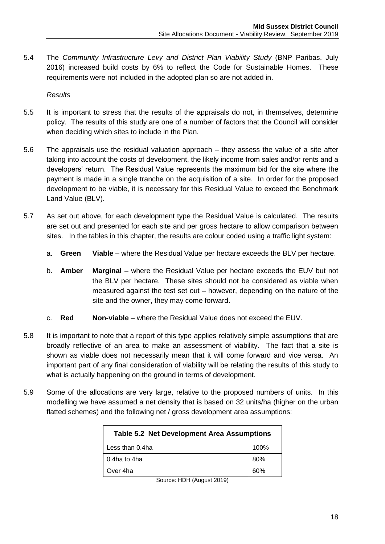5.4 The *Community Infrastructure Levy and District Plan Viability Study* (BNP Paribas, July 2016) increased build costs by 6% to reflect the Code for Sustainable Homes. These requirements were not included in the adopted plan so are not added in.

*Results*

- 5.5 It is important to stress that the results of the appraisals do not, in themselves, determine policy. The results of this study are one of a number of factors that the Council will consider when deciding which sites to include in the Plan.
- 5.6 The appraisals use the residual valuation approach they assess the value of a site after taking into account the costs of development, the likely income from sales and/or rents and a developers' return. The Residual Value represents the maximum bid for the site where the payment is made in a single tranche on the acquisition of a site. In order for the proposed development to be viable, it is necessary for this Residual Value to exceed the Benchmark Land Value (BLV).
- 5.7 As set out above, for each development type the Residual Value is calculated. The results are set out and presented for each site and per gross hectare to allow comparison between sites. In the tables in this chapter, the results are colour coded using a traffic light system:
	- a. **Green Viable** where the Residual Value per hectare exceeds the BLV per hectare.
	- b. **Amber Marginal** where the Residual Value per hectare exceeds the EUV but not the BLV per hectare. These sites should not be considered as viable when measured against the test set out – however, depending on the nature of the site and the owner, they may come forward.
	- c. **Red Non-viable** where the Residual Value does not exceed the EUV.
- 5.8 It is important to note that a report of this type applies relatively simple assumptions that are broadly reflective of an area to make an assessment of viability. The fact that a site is shown as viable does not necessarily mean that it will come forward and vice versa. An important part of any final consideration of viability will be relating the results of this study to what is actually happening on the ground in terms of development.
- 5.9 Some of the allocations are very large, relative to the proposed numbers of units. In this modelling we have assumed a net density that is based on 32 units/ha (higher on the urban flatted schemes) and the following net / gross development area assumptions:

| <b>Table 5.2 Net Development Area Assumptions</b> |      |
|---------------------------------------------------|------|
| Less than 0.4ha                                   | 100% |
| 0.4ha to 4ha                                      | 80%  |
| Over 4ha                                          | 60%  |

Source: HDH (August 2019)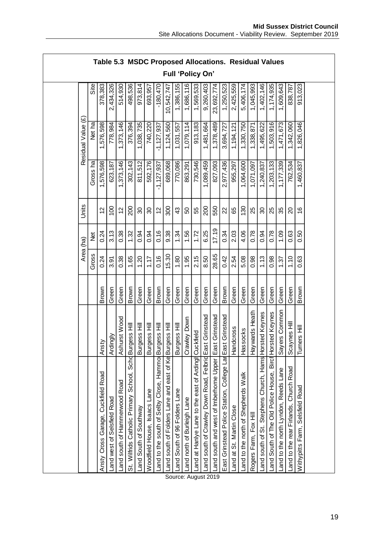|                    |          | Table 5.3 MSDC Proposed Allocations. Residual Values |                             |                               |                                       |                        |                              |                                                       |                                                        |                               |                            |                                                      |                                                         |                                         |                                                           |                          |                                     |                       |                                                        |                                                          |                                      |                                        |                                 |  |
|--------------------|----------|------------------------------------------------------|-----------------------------|-------------------------------|---------------------------------------|------------------------|------------------------------|-------------------------------------------------------|--------------------------------------------------------|-------------------------------|----------------------------|------------------------------------------------------|---------------------------------------------------------|-----------------------------------------|-----------------------------------------------------------|--------------------------|-------------------------------------|-----------------------|--------------------------------------------------------|----------------------------------------------------------|--------------------------------------|----------------------------------------|---------------------------------|--|
|                    |          |                                                      |                             |                               |                                       |                        |                              |                                                       |                                                        | <b>Full 'Policy On'</b>       |                            |                                                      |                                                         |                                         |                                                           |                          |                                     |                       |                                                        |                                                          |                                      |                                        |                                 |  |
|                    | Site     | 378,383                                              | 2,434,326                   | 514,930                       | 498,536                               | 973,814                | 693,957                      | $-180,470$                                            | 0,542,747                                              | 1,386,155                     | 1,686,116                  | 1,569,533                                            | 9,260,403                                               | 23,692,774                              | 1,250,523                                                 | 2,425,559                | 5,406,174                           | 1,045,993             | 1,402,146                                              | 1,174,935                                                | 1,609,643                            | 838,787                                | 913,023                         |  |
| Residual Value (£) | Net ha   | 1,576,598                                            | 778,984                     | 1,373,146                     | 376,394                               | 1,038,735              | 740,220                      | $-1,127,937$                                          | 1,124,560                                              | 1,031,557                     | 1,079,114                  | 913,183                                              | 1,481,664                                               | 1,378,489                               | 3,694,727                                                 | 1,194,121                | 1,330,750                           | 1,338,871             | 1,495,622                                              | 1,503,916                                                | 1,471,673                            | 1,342,060                              | 1,826,046                       |  |
|                    | Gross ha | 1,576,598                                            | 623,187                     | 1,373,146                     | 302,143                               | 811,512                | 592,176                      | $-1,127,937$                                          | 689,068                                                | 770,086                       | 863,291                    | 730,546                                              | 1,089,459                                               | 827,093                                 | 2,977,436                                                 | 955,297                  | 1,064,600                           | 1,071,097             | 1,240,837                                              | 1,203,133                                                | 1,177,339                            | 762,534                                | 1,460,837                       |  |
| Units              |          | 57                                                   | $\overline{0}$              | 51                            | 200                                   | 80                     | 80                           | $\tilde{c}$                                           | 300                                                    | $\boldsymbol{\mathcal{L}}$    | SO                         | 55                                                   | 200                                                     | 550                                     | $\mathbf{z}$                                              | 89                       | $\frac{30}{5}$                      | 25                    | 80                                                     | 25                                                       | 35                                   | $\Omega$                               | $\overset{\circ}{\cdot}$        |  |
|                    | ð<br>Z   | 0.24                                                 | 3.13                        | 0.38                          | 1.32                                  | 0.94                   | 0.94                         | 0.16                                                  | 9.38                                                   | 1.34                          | 1.56                       | 1.72                                                 | 6.25                                                    | 17.19                                   | 0.34                                                      | 2.03                     | 4.06                                | 0.78                  | 0.94                                                   | 0.78                                                     | 1.09                                 | 0.63                                   | 0.50                            |  |
| Area (ha)          | Gross    | 0.24                                                 | 3.91                        | 0.38                          | 1.65                                  | 1.20                   | 1.17                         | 0.16                                                  | 15.30                                                  | 1.80                          | 1.95                       | 2.15                                                 | 8.50                                                    | 28.65                                   | 0.42                                                      | 2.54                     | 5.08                                | 0.98                  | 1.13                                                   | 0.98                                                     | 1.37                                 | 1.10                                   | 0.63                            |  |
|                    |          | Brown                                                | Green                       | Green                         | Brown                                 | Green                  | Green                        | Brown                                                 | Green                                                  | Green                         | Green                      | Green                                                | Green                                                   | Green                                   | Brown                                                     | Green                    | Green                               | Green                 | Green                                                  | Green                                                    | Green                                | Green                                  | Brown                           |  |
|                    |          | Ansty                                                | Ardingly                    | Ashurst Wood                  | Schd <sub>Burgess</sub> Hill          | Burgess Hill           | Burgess Hill                 |                                                       |                                                        | Burgess Hill                  | Crawley Down               |                                                      |                                                         | East Grinstead                          |                                                           | ndcross<br>뤅             | Hassocks                            | Haywards Heath        |                                                        |                                                          | Sayers Common                        | Scaynes Hill                           | Turners Hill                    |  |
|                    |          | <b>Cuckfield Road</b><br>Ansty Cross Garage,         | Land west of Selsfield Road | Land south of Hammerwood Road | St. Wilfrids Catholic Primary School, | Land South of Southway | Woodfield House, Isaacs Lane | Land to the south of Selby Close, Hammor Burgess Hill | Land south of Folders Lane and east of Ke Burgess Hill | Land South of 96 Folders Lane | and north of Burleigh Lane | Land at Hanlye Lane to the east of Ardingl Cuckfield | Land south of Crawley Down Road, Felbrid East Grinstead | Land south and west of Imberhorne Upper | East Grinstead Police Station, College Lar East Grinstead | Land at St. Martin Close | Land to the north of Shepherds Walk | Rogers Farm, Fox Hill | Land south of St. Stephens Church, Hams Horsted Keynes | Land South of The Old Police House, Birch Horsted Keynes | Land to the north Lyndon, Reeds Lane | Land to the rear Firlands, Church Road | Withypitts Farm, Selsfield Road |  |

Source: August 2019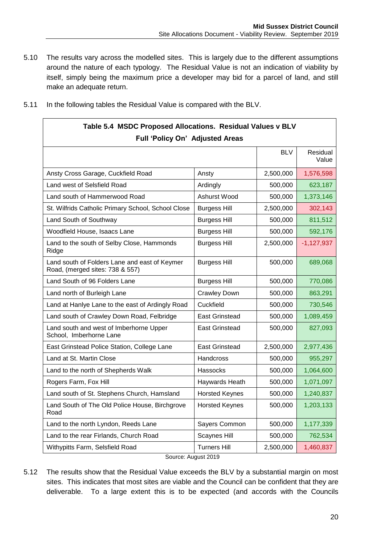5.10 The results vary across the modelled sites. This is largely due to the different assumptions around the nature of each typology. The Residual Value is not an indication of viability by itself, simply being the maximum price a developer may bid for a parcel of land, and still make an adequate return.

| Table 5.4 MSDC Proposed Allocations. Residual Values v BLV<br>Full 'Policy On' Adjusted Areas |                       |           |              |
|-----------------------------------------------------------------------------------------------|-----------------------|-----------|--------------|
|                                                                                               |                       |           |              |
| Ansty Cross Garage, Cuckfield Road                                                            | Ansty                 | 2,500,000 | 1,576,598    |
| Land west of Selsfield Road                                                                   | Ardingly              | 500,000   | 623,187      |
| Land south of Hammerwood Road                                                                 | Ashurst Wood          | 500,000   | 1,373,146    |
| St. Wilfrids Catholic Primary School, School Close                                            | <b>Burgess Hill</b>   | 2,500,000 | 302,143      |
| Land South of Southway                                                                        | <b>Burgess Hill</b>   | 500,000   | 811,512      |
| Woodfield House, Isaacs Lane                                                                  | <b>Burgess Hill</b>   | 500,000   | 592,176      |
| Land to the south of Selby Close, Hammonds<br>Ridge                                           | <b>Burgess Hill</b>   | 2,500,000 | $-1,127,937$ |
| Land south of Folders Lane and east of Keymer<br>Road, (merged sites: 738 & 557)              | <b>Burgess Hill</b>   | 500,000   | 689,068      |
| Land South of 96 Folders Lane                                                                 | <b>Burgess Hill</b>   | 500,000   | 770,086      |
| Land north of Burleigh Lane                                                                   | <b>Crawley Down</b>   | 500,000   | 863,291      |
| Land at Hanlye Lane to the east of Ardingly Road                                              | Cuckfield             | 500,000   | 730,546      |
| Land south of Crawley Down Road, Felbridge                                                    | <b>East Grinstead</b> | 500,000   | 1,089,459    |
| Land south and west of Imberhorne Upper<br>School, Imberhorne Lane                            | East Grinstead        | 500,000   | 827,093      |
| East Grinstead Police Station, College Lane                                                   | <b>East Grinstead</b> | 2,500,000 | 2,977,436    |
| Land at St. Martin Close                                                                      | Handcross             | 500,000   | 955,297      |
| Land to the north of Shepherds Walk                                                           | Hassocks              | 500,000   | 1,064,600    |
| Rogers Farm, Fox Hill                                                                         | Haywards Heath        | 500,000   | 1,071,097    |
| Land south of St. Stephens Church, Hamsland                                                   | <b>Horsted Keynes</b> | 500,000   | 1,240,837    |
| Land South of The Old Police House, Birchgrove<br>Road                                        | <b>Horsted Keynes</b> | 500,000   | 1,203,133    |
| Land to the north Lyndon, Reeds Lane                                                          | Sayers Common         | 500,000   | 1,177,339    |
| Land to the rear Firlands, Church Road                                                        | <b>Scaynes Hill</b>   | 500,000   | 762,534      |
| Withypitts Farm, Selsfield Road<br>$P_{\text{out}}$                                           | <b>Turners Hill</b>   | 2,500,000 | 1,460,837    |

5.11 In the following tables the Residual Value is compared with the BLV.

Г

- Source: August 2019
- 5.12 The results show that the Residual Value exceeds the BLV by a substantial margin on most sites. This indicates that most sites are viable and the Council can be confident that they are deliverable. To a large extent this is to be expected (and accords with the Councils

┑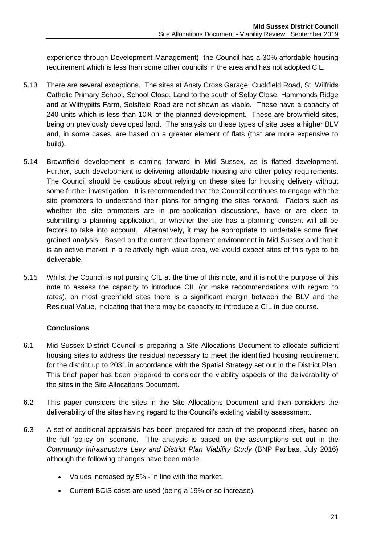experience through Development Management), the Council has a 30% affordable housing requirement which is less than some other councils in the area and has not adopted CIL.

- 5.13 There are several exceptions. The sites at Ansty Cross Garage, Cuckfield Road, St. Wilfrids Catholic Primary School, School Close, Land to the south of Selby Close, Hammonds Ridge and at Withypitts Farm, Selsfield Road are not shown as viable. These have a capacity of 240 units which is less than 10% of the planned development. These are brownfield sites, being on previously developed land. The analysis on these types of site uses a higher BLV and, in some cases, are based on a greater element of flats (that are more expensive to build).
- 5.14 Brownfield development is coming forward in Mid Sussex, as is flatted development. Further, such development is delivering affordable housing and other policy requirements. The Council should be cautious about relying on these sites for housing delivery without some further investigation. It is recommended that the Council continues to engage with the site promoters to understand their plans for bringing the sites forward. Factors such as whether the site promoters are in pre-application discussions, have or are close to submitting a planning application, or whether the site has a planning consent will all be factors to take into account. Alternatively, it may be appropriate to undertake some finer grained analysis. Based on the current development environment in Mid Sussex and that it is an active market in a relatively high value area, we would expect sites of this type to be deliverable.
- 5.15 Whilst the Council is not pursing CIL at the time of this note, and it is not the purpose of this note to assess the capacity to introduce CIL (or make recommendations with regard to rates), on most greenfield sites there is a significant margin between the BLV and the Residual Value, indicating that there may be capacity to introduce a CIL in due course.

# **Conclusions**

- 6.1 Mid Sussex District Council is preparing a Site Allocations Document to allocate sufficient housing sites to address the residual necessary to meet the identified housing requirement for the district up to 2031 in accordance with the Spatial Strategy set out in the District Plan. This brief paper has been prepared to consider the viability aspects of the deliverability of the sites in the Site Allocations Document.
- 6.2 This paper considers the sites in the Site Allocations Document and then considers the deliverability of the sites having regard to the Council's existing viability assessment.
- 6.3 A set of additional appraisals has been prepared for each of the proposed sites, based on the full 'policy on' scenario. The analysis is based on the assumptions set out in the *Community Infrastructure Levy and District Plan Viability Study* (BNP Paribas, July 2016) although the following changes have been made.
	- Values increased by 5% in line with the market.
	- Current BCIS costs are used (being a 19% or so increase).